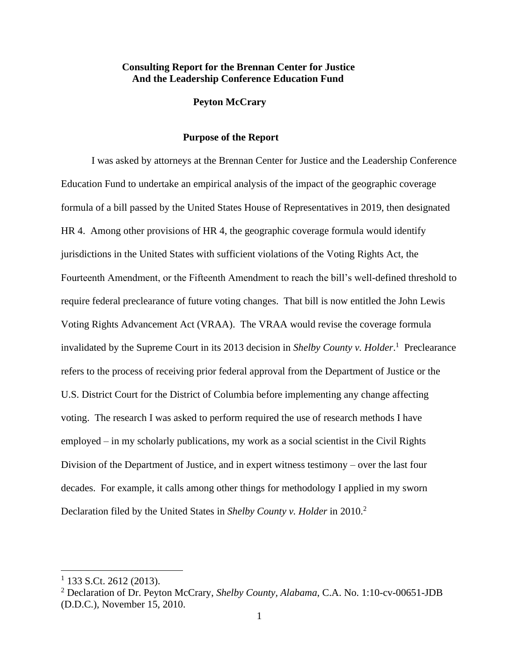## **Consulting Report for the Brennan Center for Justice And the Leadership Conference Education Fund**

### **Peyton McCrary**

#### **Purpose of the Report**

I was asked by attorneys at the Brennan Center for Justice and the Leadership Conference Education Fund to undertake an empirical analysis of the impact of the geographic coverage formula of a bill passed by the United States House of Representatives in 2019, then designated HR 4. Among other provisions of HR 4, the geographic coverage formula would identify jurisdictions in the United States with sufficient violations of the Voting Rights Act, the Fourteenth Amendment, or the Fifteenth Amendment to reach the bill's well-defined threshold to require federal preclearance of future voting changes. That bill is now entitled the John Lewis Voting Rights Advancement Act (VRAA). The VRAA would revise the coverage formula invalidated by the Supreme Court in its 2013 decision in *Shelby County v. Holder*.<sup>1</sup> Preclearance refers to the process of receiving prior federal approval from the Department of Justice or the U.S. District Court for the District of Columbia before implementing any change affecting voting. The research I was asked to perform required the use of research methods I have employed – in my scholarly publications, my work as a social scientist in the Civil Rights Division of the Department of Justice, and in expert witness testimony – over the last four decades. For example, it calls among other things for methodology I applied in my sworn Declaration filed by the United States in *Shelby County v. Holder* in 2010.<sup>2</sup>

 $1$  133 S.Ct. 2612 (2013).

<sup>2</sup> Declaration of Dr. Peyton McCrary, *Shelby County, Alabama*, C.A. No. 1:10-cv-00651-JDB (D.D.C.), November 15, 2010.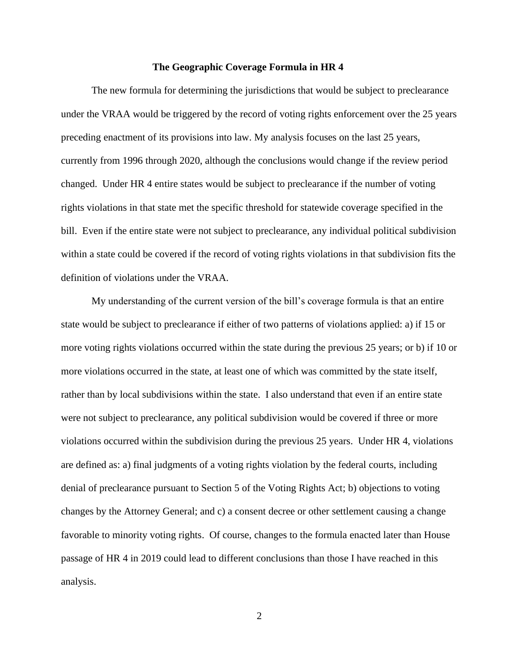#### **The Geographic Coverage Formula in HR 4**

The new formula for determining the jurisdictions that would be subject to preclearance under the VRAA would be triggered by the record of voting rights enforcement over the 25 years preceding enactment of its provisions into law. My analysis focuses on the last 25 years, currently from 1996 through 2020, although the conclusions would change if the review period changed. Under HR 4 entire states would be subject to preclearance if the number of voting rights violations in that state met the specific threshold for statewide coverage specified in the bill. Even if the entire state were not subject to preclearance, any individual political subdivision within a state could be covered if the record of voting rights violations in that subdivision fits the definition of violations under the VRAA.

My understanding of the current version of the bill's coverage formula is that an entire state would be subject to preclearance if either of two patterns of violations applied: a) if 15 or more voting rights violations occurred within the state during the previous 25 years; or b) if 10 or more violations occurred in the state, at least one of which was committed by the state itself, rather than by local subdivisions within the state. I also understand that even if an entire state were not subject to preclearance, any political subdivision would be covered if three or more violations occurred within the subdivision during the previous 25 years. Under HR 4, violations are defined as: a) final judgments of a voting rights violation by the federal courts, including denial of preclearance pursuant to Section 5 of the Voting Rights Act; b) objections to voting changes by the Attorney General; and c) a consent decree or other settlement causing a change favorable to minority voting rights. Of course, changes to the formula enacted later than House passage of HR 4 in 2019 could lead to different conclusions than those I have reached in this analysis.

2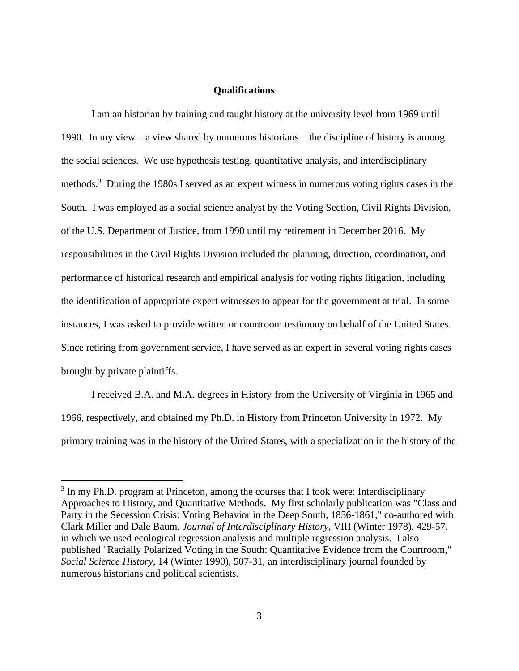### **Qualifications**

I am an historian by training and taught history at the university level from 1969 until 1990. In my view – a view shared by numerous historians – the discipline of history is among the social sciences. We use hypothesis testing, quantitative analysis, and interdisciplinary methods.<sup>3</sup> During the 1980s I served as an expert witness in numerous voting rights cases in the South. I was employed as a social science analyst by the Voting Section, Civil Rights Division, of the U.S. Department of Justice, from 1990 until my retirement in December 2016. My responsibilities in the Civil Rights Division included the planning, direction, coordination, and performance of historical research and empirical analysis for voting rights litigation, including the identification of appropriate expert witnesses to appear for the government at trial. In some instances, I was asked to provide written or courtroom testimony on behalf of the United States. Since retiring from government service, I have served as an expert in several voting rights cases brought by private plaintiffs.

I received B.A. and M.A. degrees in History from the University of Virginia in 1965 and 1966, respectively, and obtained my Ph.D. in History from Princeton University in 1972. My primary training was in the history of the United States, with a specialization in the history of the

<sup>&</sup>lt;sup>3</sup> In my Ph.D. program at Princeton, among the courses that I took were: Interdisciplinary Approaches to History, and Quantitative Methods. My first scholarly publication was "Class and Party in the Secession Crisis: Voting Behavior in the Deep South, 1856-1861," co-authored with Clark Miller and Dale Baum, *Journal of Interdisciplinary History*, VIII (Winter 1978), 429-57, in which we used ecological regression analysis and multiple regression analysis. I also published "Racially Polarized Voting in the South: Quantitative Evidence from the Courtroom," *Social Science History*, 14 (Winter 1990), 507-31, an interdisciplinary journal founded by numerous historians and political scientists.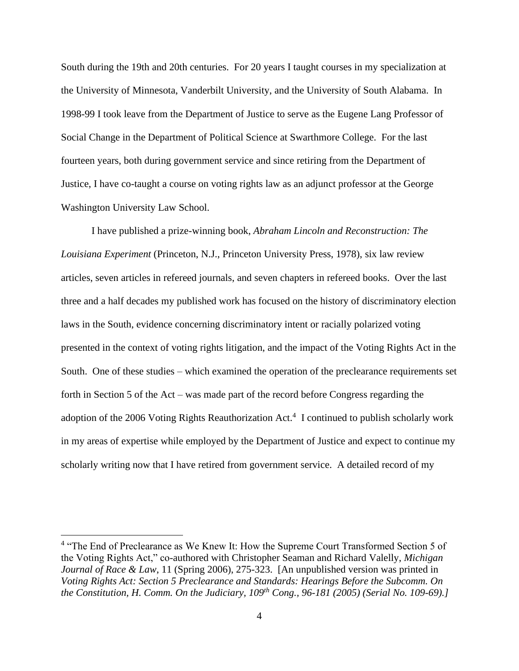South during the 19th and 20th centuries. For 20 years I taught courses in my specialization at the University of Minnesota, Vanderbilt University, and the University of South Alabama. In 1998-99 I took leave from the Department of Justice to serve as the Eugene Lang Professor of Social Change in the Department of Political Science at Swarthmore College. For the last fourteen years, both during government service and since retiring from the Department of Justice, I have co-taught a course on voting rights law as an adjunct professor at the George Washington University Law School.

I have published a prize-winning book, *Abraham Lincoln and Reconstruction: The Louisiana Experiment* (Princeton, N.J., Princeton University Press, 1978), six law review articles, seven articles in refereed journals, and seven chapters in refereed books. Over the last three and a half decades my published work has focused on the history of discriminatory election laws in the South, evidence concerning discriminatory intent or racially polarized voting presented in the context of voting rights litigation, and the impact of the Voting Rights Act in the South. One of these studies – which examined the operation of the preclearance requirements set forth in Section 5 of the Act – was made part of the record before Congress regarding the adoption of the 2006 Voting Rights Reauthorization Act.<sup>4</sup> I continued to publish scholarly work in my areas of expertise while employed by the Department of Justice and expect to continue my scholarly writing now that I have retired from government service. A detailed record of my

<sup>&</sup>lt;sup>4</sup> "The End of Preclearance as We Knew It: How the Supreme Court Transformed Section 5 of the Voting Rights Act," co-authored with Christopher Seaman and Richard Valelly, *Michigan Journal of Race & Law*, 11 (Spring 2006), 275-323. [An unpublished version was printed in *Voting Rights Act: Section 5 Preclearance and Standards: Hearings Before the Subcomm. On the Constitution, H. Comm. On the Judiciary, 109th Cong., 96-181 (2005) (Serial No. 109-69).]*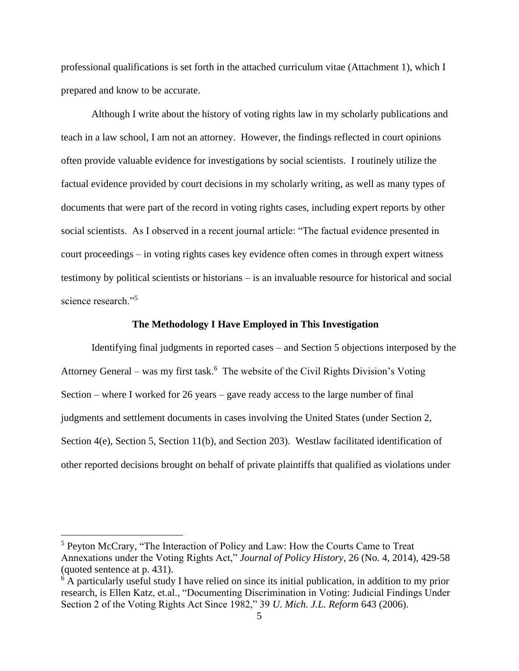professional qualifications is set forth in the attached curriculum vitae (Attachment 1), which I prepared and know to be accurate.

Although I write about the history of voting rights law in my scholarly publications and teach in a law school, I am not an attorney. However, the findings reflected in court opinions often provide valuable evidence for investigations by social scientists. I routinely utilize the factual evidence provided by court decisions in my scholarly writing, as well as many types of documents that were part of the record in voting rights cases, including expert reports by other social scientists. As I observed in a recent journal article: "The factual evidence presented in court proceedings – in voting rights cases key evidence often comes in through expert witness testimony by political scientists or historians – is an invaluable resource for historical and social science research."<sup>5</sup>

#### **The Methodology I Have Employed in This Investigation**

Identifying final judgments in reported cases – and Section 5 objections interposed by the Attorney General – was my first task.<sup>6</sup> The website of the Civil Rights Division's Voting Section – where I worked for 26 years – gave ready access to the large number of final judgments and settlement documents in cases involving the United States (under Section 2, Section 4(e), Section 5, Section 11(b), and Section 203). Westlaw facilitated identification of other reported decisions brought on behalf of private plaintiffs that qualified as violations under

<sup>5</sup> Peyton McCrary, "The Interaction of Policy and Law: How the Courts Came to Treat Annexations under the Voting Rights Act," *Journal of Policy History*, 26 (No. 4, 2014), 429-58 (quoted sentence at p. 431).

 $6$  A particularly useful study I have relied on since its initial publication, in addition to my prior research, is Ellen Katz, et.al., "Documenting Discrimination in Voting: Judicial Findings Under Section 2 of the Voting Rights Act Since 1982," 39 *U. Mich. J.L. Reform* 643 (2006).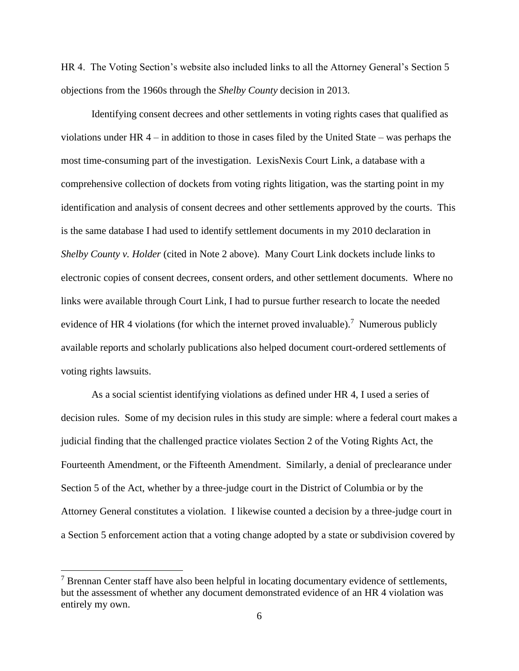HR 4. The Voting Section's website also included links to all the Attorney General's Section 5 objections from the 1960s through the *Shelby County* decision in 2013.

Identifying consent decrees and other settlements in voting rights cases that qualified as violations under HR 4 – in addition to those in cases filed by the United State – was perhaps the most time-consuming part of the investigation. LexisNexis Court Link, a database with a comprehensive collection of dockets from voting rights litigation, was the starting point in my identification and analysis of consent decrees and other settlements approved by the courts. This is the same database I had used to identify settlement documents in my 2010 declaration in *Shelby County v. Holder* (cited in Note 2 above). Many Court Link dockets include links to electronic copies of consent decrees, consent orders, and other settlement documents. Where no links were available through Court Link, I had to pursue further research to locate the needed evidence of HR 4 violations (for which the internet proved invaluable).<sup>7</sup> Numerous publicly available reports and scholarly publications also helped document court-ordered settlements of voting rights lawsuits.

As a social scientist identifying violations as defined under HR 4, I used a series of decision rules. Some of my decision rules in this study are simple: where a federal court makes a judicial finding that the challenged practice violates Section 2 of the Voting Rights Act, the Fourteenth Amendment, or the Fifteenth Amendment. Similarly, a denial of preclearance under Section 5 of the Act, whether by a three-judge court in the District of Columbia or by the Attorney General constitutes a violation. I likewise counted a decision by a three-judge court in a Section 5 enforcement action that a voting change adopted by a state or subdivision covered by

 $<sup>7</sup>$  Brennan Center staff have also been helpful in locating documentary evidence of settlements,</sup> but the assessment of whether any document demonstrated evidence of an HR 4 violation was entirely my own.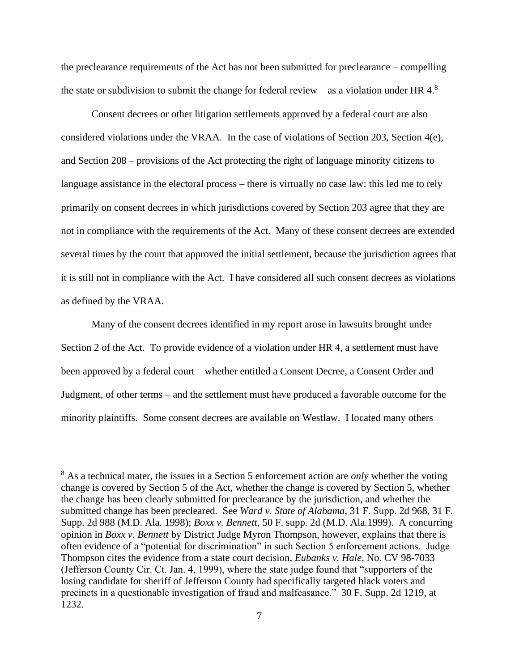the preclearance requirements of the Act has not been submitted for preclearance – compelling the state or subdivision to submit the change for federal review – as a violation under HR  $4.8$ 

Consent decrees or other litigation settlements approved by a federal court are also considered violations under the VRAA. In the case of violations of Section 203, Section 4(e), and Section 208 – provisions of the Act protecting the right of language minority citizens to language assistance in the electoral process – there is virtually no case law: this led me to rely primarily on consent decrees in which jurisdictions covered by Section 203 agree that they are not in compliance with the requirements of the Act. Many of these consent decrees are extended several times by the court that approved the initial settlement, because the jurisdiction agrees that it is still not in compliance with the Act. I have considered all such consent decrees as violations as defined by the VRAA.

Many of the consent decrees identified in my report arose in lawsuits brought under Section 2 of the Act. To provide evidence of a violation under HR 4, a settlement must have been approved by a federal court – whether entitled a Consent Decree, a Consent Order and Judgment, of other terms – and the settlement must have produced a favorable outcome for the minority plaintiffs. Some consent decrees are available on Westlaw. I located many others

<sup>8</sup> As a technical mater, the issues in a Section 5 enforcement action are *only* whether the voting change is covered by Section 5 of the Act, whether the change is covered by Section 5, whether the change has been clearly submitted for preclearance by the jurisdiction, and whether the submitted change has been precleared. See *Ward v. State of Alabama*, 31 F. Supp. 2d 968, 31 F. Supp. 2d 988 (M.D. Ala. 1998); *Boxx v. Bennett*, 50 F. supp. 2d (M.D. Ala.1999). A concurring opinion in *Boxx v. Bennett* by District Judge Myron Thompson, however, explains that there is often evidence of a "potential for discrimination" in such Section 5 enforcement actions. Judge Thompson cites the evidence from a state court decision, *Eubanks v. Hale,* No. CV 98-7033 (Jefferson County Cir. Ct. Jan. 4, 1999), where the state judge found that "supporters of the losing candidate for sheriff of Jefferson County had specifically targeted black voters and precincts in a questionable investigation of fraud and malfeasance." 30 F. Supp. 2d 1219, at 1232.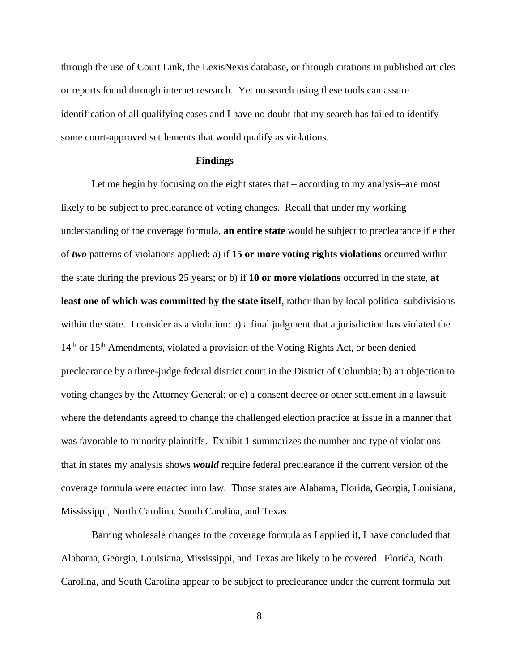through the use of Court Link, the LexisNexis database, or through citations in published articles or reports found through internet research. Yet no search using these tools can assure identification of all qualifying cases and I have no doubt that my search has failed to identify some court-approved settlements that would qualify as violations.

#### **Findings**

Let me begin by focusing on the eight states that – according to my analysis–are most likely to be subject to preclearance of voting changes. Recall that under my working understanding of the coverage formula, **an entire state** would be subject to preclearance if either of *two* patterns of violations applied: a) if **15 or more voting rights violations** occurred within the state during the previous 25 years; or b) if **10 or more violations** occurred in the state, **at least one of which was committed by the state itself**, rather than by local political subdivisions within the state. I consider as a violation: a) a final judgment that a jurisdiction has violated the 14<sup>th</sup> or 15<sup>th</sup> Amendments, violated a provision of the Voting Rights Act, or been denied preclearance by a three-judge federal district court in the District of Columbia; b) an objection to voting changes by the Attorney General; or c) a consent decree or other settlement in a lawsuit where the defendants agreed to change the challenged election practice at issue in a manner that was favorable to minority plaintiffs. Exhibit 1 summarizes the number and type of violations that in states my analysis shows *would* require federal preclearance if the current version of the coverage formula were enacted into law. Those states are Alabama, Florida, Georgia, Louisiana, Mississippi, North Carolina. South Carolina, and Texas.

Barring wholesale changes to the coverage formula as I applied it, I have concluded that Alabama, Georgia, Louisiana, Mississippi, and Texas are likely to be covered. Florida, North Carolina, and South Carolina appear to be subject to preclearance under the current formula but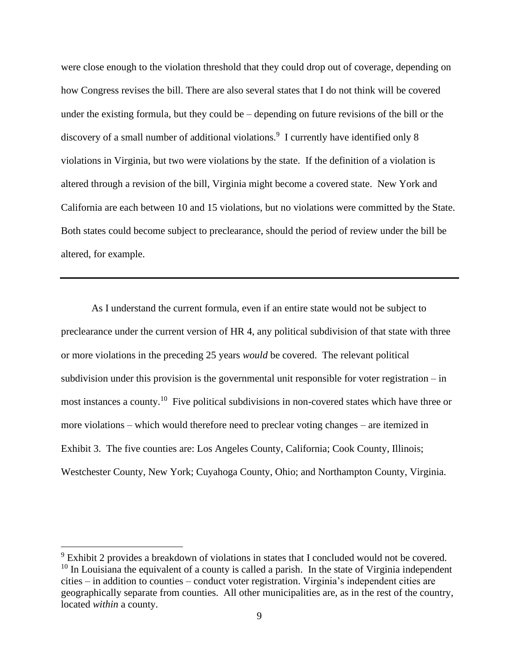were close enough to the violation threshold that they could drop out of coverage, depending on how Congress revises the bill. There are also several states that I do not think will be covered under the existing formula, but they could be – depending on future revisions of the bill or the discovery of a small number of additional violations.<sup>9</sup> I currently have identified only 8 violations in Virginia, but two were violations by the state. If the definition of a violation is altered through a revision of the bill, Virginia might become a covered state. New York and California are each between 10 and 15 violations, but no violations were committed by the State. Both states could become subject to preclearance, should the period of review under the bill be altered, for example.

As I understand the current formula, even if an entire state would not be subject to preclearance under the current version of HR 4, any political subdivision of that state with three or more violations in the preceding 25 years *would* be covered. The relevant political subdivision under this provision is the governmental unit responsible for voter registration – in most instances a county.<sup>10</sup> Five political subdivisions in non-covered states which have three or more violations – which would therefore need to preclear voting changes – are itemized in Exhibit 3. The five counties are: Los Angeles County, California; Cook County, Illinois; Westchester County, New York; Cuyahoga County, Ohio; and Northampton County, Virginia.

<sup>&</sup>lt;sup>9</sup> Exhibit 2 provides a breakdown of violations in states that I concluded would not be covered.  $10$  In Louisiana the equivalent of a county is called a parish. In the state of Virginia independent cities – in addition to counties – conduct voter registration. Virginia's independent cities are geographically separate from counties. All other municipalities are, as in the rest of the country, located *within* a county.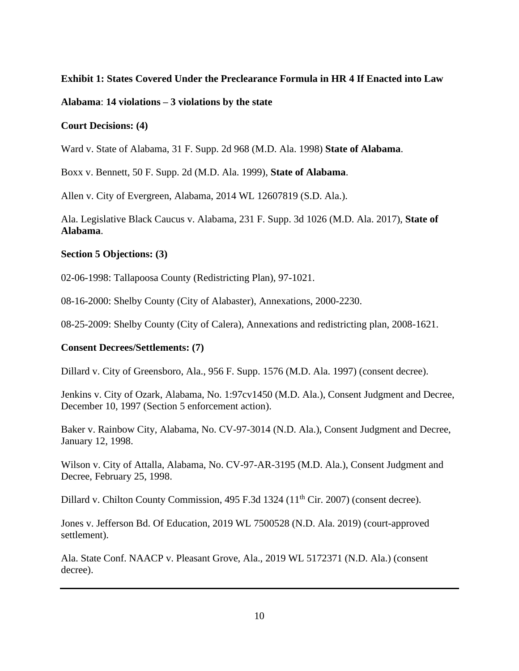# **Exhibit 1: States Covered Under the Preclearance Formula in HR 4 If Enacted into Law**

# **Alabama**: **14 violations – 3 violations by the state**

# **Court Decisions: (4)**

Ward v. State of Alabama, 31 F. Supp. 2d 968 (M.D. Ala. 1998) **State of Alabama**.

Boxx v. Bennett, 50 F. Supp. 2d (M.D. Ala. 1999), **State of Alabama**.

Allen v. City of Evergreen, Alabama, 2014 WL 12607819 (S.D. Ala.).

Ala. Legislative Black Caucus v. Alabama, 231 F. Supp. 3d 1026 (M.D. Ala. 2017), **State of Alabama**.

# **Section 5 Objections: (3)**

02-06-1998: Tallapoosa County (Redistricting Plan), 97-1021.

08-16-2000: Shelby County (City of Alabaster), Annexations, 2000-2230.

08-25-2009: Shelby County (City of Calera), Annexations and redistricting plan, 2008-1621.

# **Consent Decrees/Settlements: (7)**

Dillard v. City of Greensboro, Ala., 956 F. Supp. 1576 (M.D. Ala. 1997) (consent decree).

Jenkins v. City of Ozark, Alabama, No. 1:97cv1450 (M.D. Ala.), Consent Judgment and Decree, December 10, 1997 (Section 5 enforcement action).

Baker v. Rainbow City, Alabama, No. CV-97-3014 (N.D. Ala.), Consent Judgment and Decree, January 12, 1998.

Wilson v. City of Attalla, Alabama, No. CV-97-AR-3195 (M.D. Ala.), Consent Judgment and Decree, February 25, 1998.

Dillard v. Chilton County Commission,  $495$  F.3d  $1324$  ( $11<sup>th</sup>$  Cir. 2007) (consent decree).

Jones v. Jefferson Bd. Of Education, 2019 WL 7500528 (N.D. Ala. 2019) (court-approved settlement).

Ala. State Conf. NAACP v. Pleasant Grove, Ala., 2019 WL 5172371 (N.D. Ala.) (consent decree).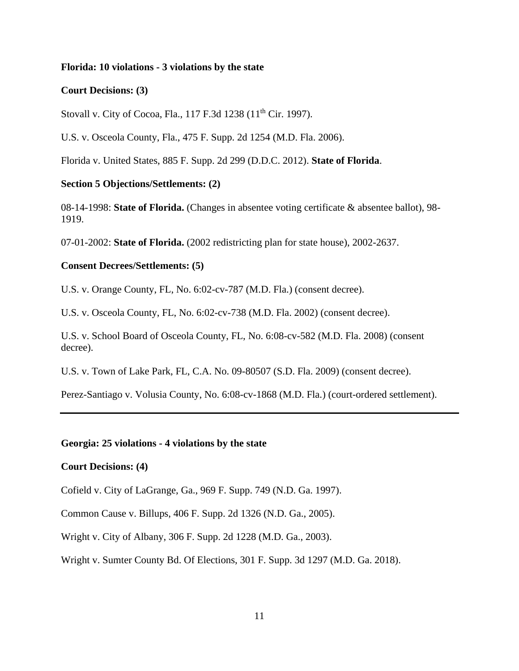### **Florida: 10 violations - 3 violations by the state**

#### **Court Decisions: (3)**

Stovall v. City of Cocoa, Fla., 117 F.3d 1238 (11<sup>th</sup> Cir. 1997).

U.S. v. Osceola County, Fla., 475 F. Supp. 2d 1254 (M.D. Fla. 2006).

Florida v. United States, 885 F. Supp. 2d 299 (D.D.C. 2012). **State of Florida**.

#### **Section 5 Objections/Settlements: (2)**

08-14-1998: **State of Florida.** (Changes in absentee voting certificate & absentee ballot), 98- 1919.

07-01-2002: **State of Florida.** (2002 redistricting plan for state house), 2002-2637.

### **Consent Decrees/Settlements: (5)**

U.S. v. Orange County, FL, No. 6:02-cv-787 (M.D. Fla.) (consent decree).

U.S. v. Osceola County, FL, No. 6:02-cv-738 (M.D. Fla. 2002) (consent decree).

U.S. v. School Board of Osceola County, FL, No. 6:08-cv-582 (M.D. Fla. 2008) (consent decree).

U.S. v. Town of Lake Park, FL, C.A. No. 09-80507 (S.D. Fla. 2009) (consent decree).

Perez-Santiago v. Volusia County, No. 6:08-cv-1868 (M.D. Fla.) (court-ordered settlement).

### **Georgia: 25 violations - 4 violations by the state**

### **Court Decisions: (4)**

Cofield v. City of LaGrange, Ga., 969 F. Supp. 749 (N.D. Ga. 1997).

Common Cause v. Billups, 406 F. Supp. 2d 1326 (N.D. Ga., 2005).

Wright v. City of Albany, 306 F. Supp. 2d 1228 (M.D. Ga., 2003).

Wright v. Sumter County Bd. Of Elections, 301 F. Supp. 3d 1297 (M.D. Ga. 2018).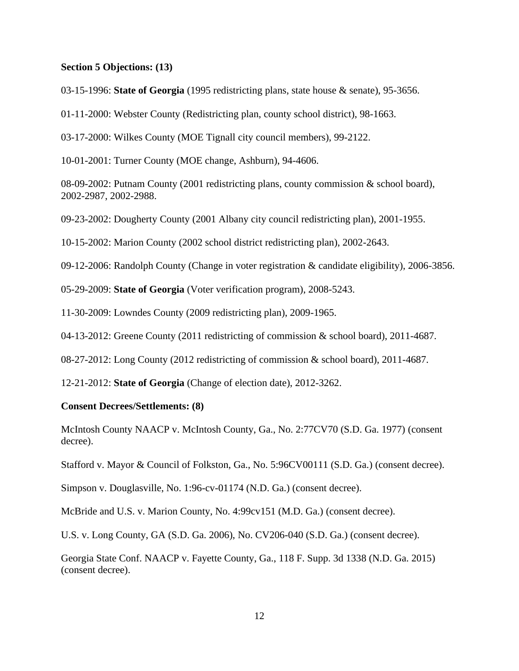#### **Section 5 Objections: (13)**

03-15-1996: **State of Georgia** (1995 redistricting plans, state house & senate), 95-3656.

01-11-2000: Webster County (Redistricting plan, county school district), 98-1663.

03-17-2000: Wilkes County (MOE Tignall city council members), 99-2122.

10-01-2001: Turner County (MOE change, Ashburn), 94-4606.

08-09-2002: Putnam County (2001 redistricting plans, county commission & school board), 2002-2987, 2002-2988.

09-23-2002: Dougherty County (2001 Albany city council redistricting plan), 2001-1955.

10-15-2002: Marion County (2002 school district redistricting plan), 2002-2643.

09-12-2006: Randolph County (Change in voter registration & candidate eligibility), 2006-3856.

05-29-2009: **State of Georgia** (Voter verification program), 2008-5243.

11-30-2009: Lowndes County (2009 redistricting plan), 2009-1965.

04-13-2012: Greene County (2011 redistricting of commission & school board), 2011-4687.

08-27-2012: Long County (2012 redistricting of commission & school board), 2011-4687.

12-21-2012: **State of Georgia** (Change of election date), 2012-3262.

#### **Consent Decrees/Settlements: (8)**

McIntosh County NAACP v. McIntosh County, Ga., No. 2:77CV70 (S.D. Ga. 1977) (consent decree).

Stafford v. Mayor & Council of Folkston, Ga., No. 5:96CV00111 (S.D. Ga.) (consent decree).

Simpson v. Douglasville, No. 1:96-cv-01174 (N.D. Ga.) (consent decree).

McBride and U.S. v. Marion County, No. 4:99cv151 (M.D. Ga.) (consent decree).

U.S. v. Long County, GA (S.D. Ga. 2006), No. CV206-040 (S.D. Ga.) (consent decree).

Georgia State Conf. NAACP v. Fayette County, Ga., 118 F. Supp. 3d 1338 (N.D. Ga. 2015) (consent decree).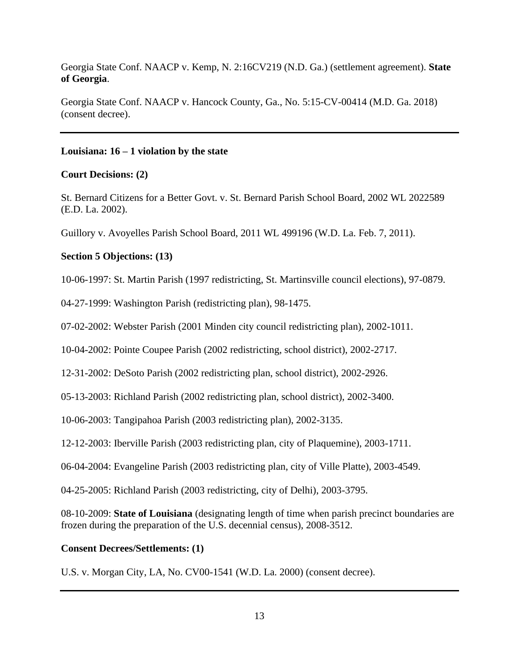Georgia State Conf. NAACP v. Kemp, N. 2:16CV219 (N.D. Ga.) (settlement agreement). **State of Georgia**.

Georgia State Conf. NAACP v. Hancock County, Ga., No. 5:15-CV-00414 (M.D. Ga. 2018) (consent decree).

## **Louisiana: 16 – 1 violation by the state**

## **Court Decisions: (2)**

St. Bernard Citizens for a Better Govt. v. St. Bernard Parish School Board, 2002 WL 2022589 (E.D. La. 2002).

Guillory v. Avoyelles Parish School Board, 2011 WL 499196 (W.D. La. Feb. 7, 2011).

## **Section 5 Objections: (13)**

10-06-1997: St. Martin Parish (1997 redistricting, St. Martinsville council elections), 97-0879.

04-27-1999: Washington Parish (redistricting plan), 98-1475.

07-02-2002: Webster Parish (2001 Minden city council redistricting plan), 2002-1011.

10-04-2002: Pointe Coupee Parish (2002 redistricting, school district), 2002-2717.

12-31-2002: DeSoto Parish (2002 redistricting plan, school district), 2002-2926.

05-13-2003: Richland Parish (2002 redistricting plan, school district), 2002-3400.

10-06-2003: Tangipahoa Parish (2003 redistricting plan), 2002-3135.

12-12-2003: Iberville Parish (2003 redistricting plan, city of Plaquemine), 2003-1711.

06-04-2004: Evangeline Parish (2003 redistricting plan, city of Ville Platte), 2003-4549.

04-25-2005: Richland Parish (2003 redistricting, city of Delhi), 2003-3795.

08-10-2009: **State of Louisiana** (designating length of time when parish precinct boundaries are frozen during the preparation of the U.S. decennial census), 2008-3512.

### **Consent Decrees/Settlements: (1)**

U.S. v. Morgan City, LA, No. CV00-1541 (W.D. La. 2000) (consent decree).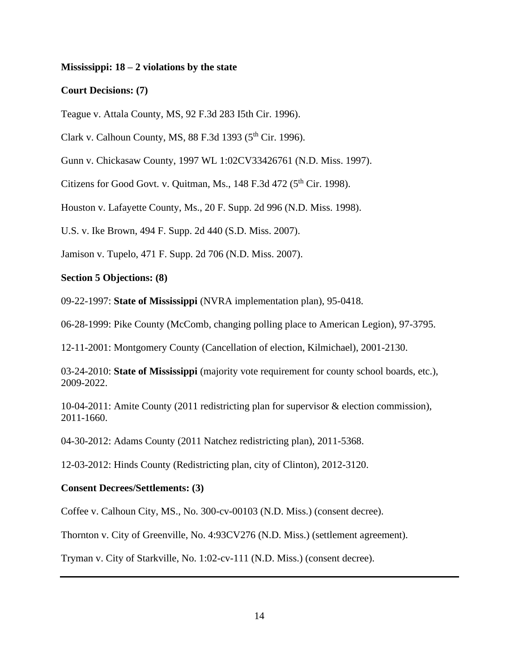### **Mississippi: 18 – 2 violations by the state**

### **Court Decisions: (7)**

Teague v. Attala County, MS, 92 F.3d 283 I5th Cir. 1996).

Clark v. Calhoun County, MS,  $88$  F.3d 1393 ( $5<sup>th</sup>$  Cir. 1996).

Gunn v. Chickasaw County, 1997 WL 1:02CV33426761 (N.D. Miss. 1997).

Citizens for Good Govt. v. Quitman, Ms.,  $148$  F.3d  $472$  ( $5<sup>th</sup>$  Cir. 1998).

Houston v. Lafayette County, Ms., 20 F. Supp. 2d 996 (N.D. Miss. 1998).

U.S. v. Ike Brown, 494 F. Supp. 2d 440 (S.D. Miss. 2007).

Jamison v. Tupelo, 471 F. Supp. 2d 706 (N.D. Miss. 2007).

#### **Section 5 Objections: (8)**

09-22-1997: **State of Mississippi** (NVRA implementation plan), 95-0418.

06-28-1999: Pike County (McComb, changing polling place to American Legion), 97-3795.

12-11-2001: Montgomery County (Cancellation of election, Kilmichael), 2001-2130.

03-24-2010: **State of Mississippi** (majority vote requirement for county school boards, etc.), 2009-2022.

10-04-2011: Amite County (2011 redistricting plan for supervisor & election commission), 2011-1660.

04-30-2012: Adams County (2011 Natchez redistricting plan), 2011-5368.

12-03-2012: Hinds County (Redistricting plan, city of Clinton), 2012-3120.

#### **Consent Decrees/Settlements: (3)**

Coffee v. Calhoun City, MS., No. 300-cv-00103 (N.D. Miss.) (consent decree).

Thornton v. City of Greenville, No. 4:93CV276 (N.D. Miss.) (settlement agreement).

Tryman v. City of Starkville, No. 1:02-cv-111 (N.D. Miss.) (consent decree).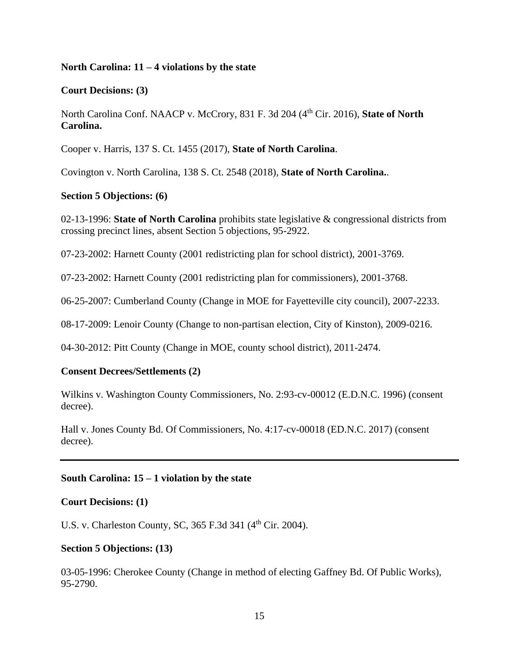### **North Carolina: 11 – 4 violations by the state**

#### **Court Decisions: (3)**

North Carolina Conf. NAACP v. McCrory, 831 F. 3d 204 (4th Cir. 2016), **State of North Carolina.**

Cooper v. Harris, 137 S. Ct. 1455 (2017), **State of North Carolina**.

Covington v. North Carolina, 138 S. Ct. 2548 (2018), **State of North Carolina.**.

## **Section 5 Objections: (6)**

02-13-1996: **State of North Carolina** prohibits state legislative & congressional districts from crossing precinct lines, absent Section 5 objections, 95-2922.

07-23-2002: Harnett County (2001 redistricting plan for school district), 2001-3769.

07-23-2002: Harnett County (2001 redistricting plan for commissioners), 2001-3768.

06-25-2007: Cumberland County (Change in MOE for Fayetteville city council), 2007-2233.

08-17-2009: Lenoir County (Change to non-partisan election, City of Kinston), 2009-0216.

04-30-2012: Pitt County (Change in MOE, county school district), 2011-2474.

### **Consent Decrees/Settlements (2)**

Wilkins v. Washington County Commissioners, No. 2:93-cv-00012 (E.D.N.C. 1996) (consent decree).

Hall v. Jones County Bd. Of Commissioners, No. 4:17-cv-00018 (ED.N.C. 2017) (consent decree).

#### **South Carolina: 15 – 1 violation by the state**

#### **Court Decisions: (1)**

U.S. v. Charleston County, SC, 365 F.3d 341 (4<sup>th</sup> Cir. 2004).

### **Section 5 Objections: (13)**

03-05-1996: Cherokee County (Change in method of electing Gaffney Bd. Of Public Works), 95-2790.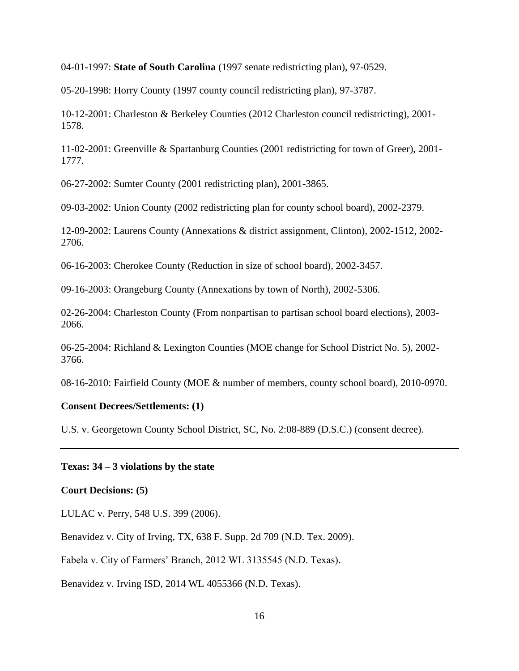04-01-1997: **State of South Carolina** (1997 senate redistricting plan), 97-0529.

05-20-1998: Horry County (1997 county council redistricting plan), 97-3787.

10-12-2001: Charleston & Berkeley Counties (2012 Charleston council redistricting), 2001- 1578.

11-02-2001: Greenville & Spartanburg Counties (2001 redistricting for town of Greer), 2001- 1777.

06-27-2002: Sumter County (2001 redistricting plan), 2001-3865.

09-03-2002: Union County (2002 redistricting plan for county school board), 2002-2379.

12-09-2002: Laurens County (Annexations & district assignment, Clinton), 2002-1512, 2002- 2706.

06-16-2003: Cherokee County (Reduction in size of school board), 2002-3457.

09-16-2003: Orangeburg County (Annexations by town of North), 2002-5306.

02-26-2004: Charleston County (From nonpartisan to partisan school board elections), 2003- 2066.

06-25-2004: Richland & Lexington Counties (MOE change for School District No. 5), 2002- 3766.

08-16-2010: Fairfield County (MOE & number of members, county school board), 2010-0970.

## **Consent Decrees/Settlements: (1)**

U.S. v. Georgetown County School District, SC, No. 2:08-889 (D.S.C.) (consent decree).

## **Texas: 34 – 3 violations by the state**

#### **Court Decisions: (5)**

LULAC v. Perry, 548 U.S. 399 (2006).

Benavidez v. City of Irving, TX, 638 F. Supp. 2d 709 (N.D. Tex. 2009).

Fabela v. City of Farmers' Branch, 2012 WL 3135545 (N.D. Texas).

Benavidez v. Irving ISD, 2014 WL 4055366 (N.D. Texas).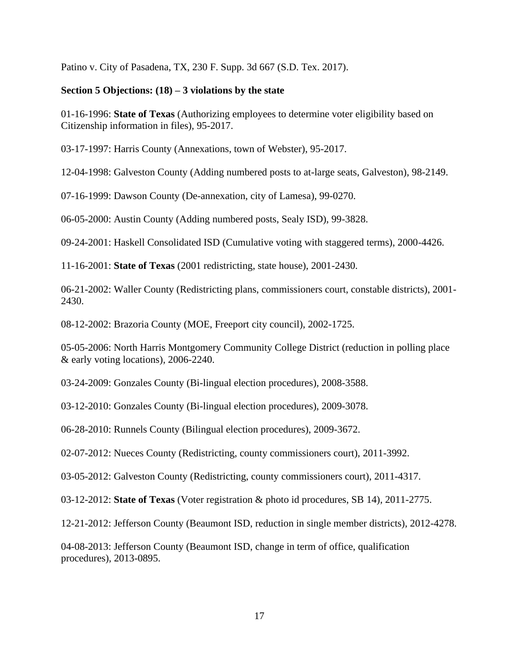Patino v. City of Pasadena, TX, 230 F. Supp. 3d 667 (S.D. Tex. 2017).

## **Section 5 Objections: (18) – 3 violations by the state**

01-16-1996: **State of Texas** (Authorizing employees to determine voter eligibility based on Citizenship information in files), 95-2017.

03-17-1997: Harris County (Annexations, town of Webster), 95-2017.

12-04-1998: Galveston County (Adding numbered posts to at-large seats, Galveston), 98-2149.

07-16-1999: Dawson County (De-annexation, city of Lamesa), 99-0270.

06-05-2000: Austin County (Adding numbered posts, Sealy ISD), 99-3828.

09-24-2001: Haskell Consolidated ISD (Cumulative voting with staggered terms), 2000-4426.

11-16-2001: **State of Texas** (2001 redistricting, state house), 2001-2430.

06-21-2002: Waller County (Redistricting plans, commissioners court, constable districts), 2001- 2430.

08-12-2002: Brazoria County (MOE, Freeport city council), 2002-1725.

05-05-2006: North Harris Montgomery Community College District (reduction in polling place & early voting locations), 2006-2240.

03-24-2009: Gonzales County (Bi-lingual election procedures), 2008-3588.

03-12-2010: Gonzales County (Bi-lingual election procedures), 2009-3078.

06-28-2010: Runnels County (Bilingual election procedures), 2009-3672.

02-07-2012: Nueces County (Redistricting, county commissioners court), 2011-3992.

03-05-2012: Galveston County (Redistricting, county commissioners court), 2011-4317.

03-12-2012: **State of Texas** (Voter registration & photo id procedures, SB 14), 2011-2775.

12-21-2012: Jefferson County (Beaumont ISD, reduction in single member districts), 2012-4278.

04-08-2013: Jefferson County (Beaumont ISD, change in term of office, qualification procedures), 2013-0895.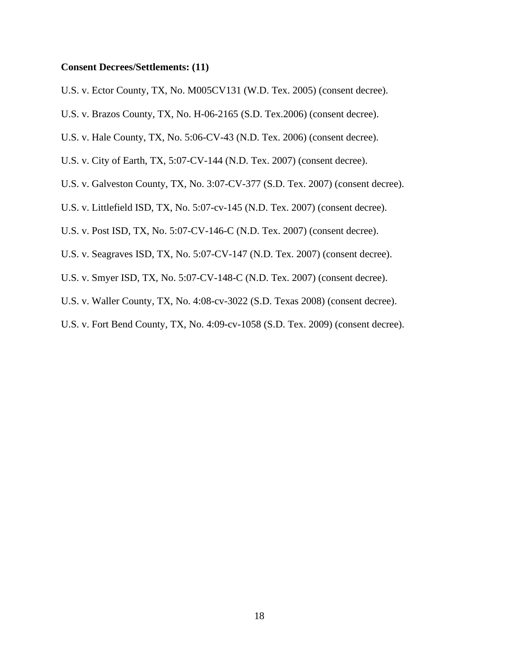#### **Consent Decrees/Settlements: (11)**

U.S. v. Ector County, TX, No. M005CV131 (W.D. Tex. 2005) (consent decree).

- U.S. v. Brazos County, TX, No. H-06-2165 (S.D. Tex.2006) (consent decree).
- U.S. v. Hale County, TX, No. 5:06-CV-43 (N.D. Tex. 2006) (consent decree).
- U.S. v. City of Earth, TX, 5:07-CV-144 (N.D. Tex. 2007) (consent decree).
- U.S. v. Galveston County, TX, No. 3:07-CV-377 (S.D. Tex. 2007) (consent decree).
- U.S. v. Littlefield ISD, TX, No. 5:07-cv-145 (N.D. Tex. 2007) (consent decree).
- U.S. v. Post ISD, TX, No. 5:07-CV-146-C (N.D. Tex. 2007) (consent decree).
- U.S. v. Seagraves ISD, TX, No. 5:07-CV-147 (N.D. Tex. 2007) (consent decree).
- U.S. v. Smyer ISD, TX, No. 5:07-CV-148-C (N.D. Tex. 2007) (consent decree).
- U.S. v. Waller County, TX, No. 4:08-cv-3022 (S.D. Texas 2008) (consent decree).
- U.S. v. Fort Bend County, TX, No. 4:09-cv-1058 (S.D. Tex. 2009) (consent decree).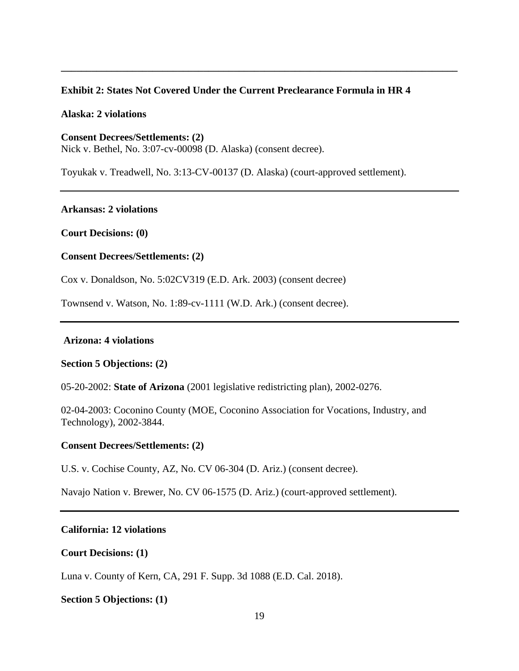# **Exhibit 2: States Not Covered Under the Current Preclearance Formula in HR 4**

**\_\_\_\_\_\_\_\_\_\_\_\_\_\_\_\_\_\_\_\_\_\_\_\_\_\_\_\_\_\_\_\_\_\_\_\_\_\_\_\_\_\_\_\_\_\_\_\_\_\_\_\_\_\_\_\_\_\_\_\_\_\_\_\_\_\_\_\_\_\_\_\_\_\_\_\_\_\_**

### **Alaska: 2 violations**

**Consent Decrees/Settlements: (2)** Nick v. Bethel, No. 3:07-cv-00098 (D. Alaska) (consent decree).

Toyukak v. Treadwell, No. 3:13-CV-00137 (D. Alaska) (court-approved settlement).

## **Arkansas: 2 violations**

**Court Decisions: (0)** 

## **Consent Decrees/Settlements: (2)**

Cox v. Donaldson, No. 5:02CV319 (E.D. Ark. 2003) (consent decree)

Townsend v. Watson, No. 1:89-cv-1111 (W.D. Ark.) (consent decree).

## **Arizona: 4 violations**

### **Section 5 Objections: (2)**

05-20-2002: **State of Arizona** (2001 legislative redistricting plan), 2002-0276.

02-04-2003: Coconino County (MOE, Coconino Association for Vocations, Industry, and Technology), 2002-3844.

### **Consent Decrees/Settlements: (2)**

U.S. v. Cochise County, AZ, No. CV 06-304 (D. Ariz.) (consent decree).

Navajo Nation v. Brewer, No. CV 06-1575 (D. Ariz.) (court-approved settlement).

## **California: 12 violations**

### **Court Decisions: (1)**

Luna v. County of Kern, CA, 291 F. Supp. 3d 1088 (E.D. Cal. 2018).

### **Section 5 Objections: (1)**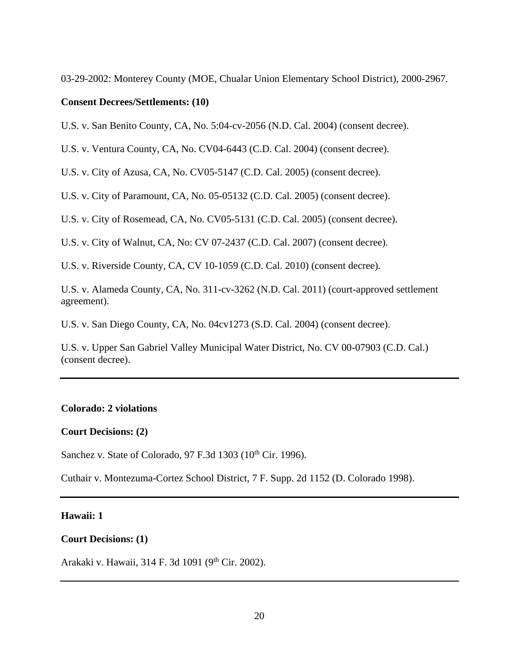03-29-2002: Monterey County (MOE, Chualar Union Elementary School District), 2000-2967.

# **Consent Decrees/Settlements: (10)**

U.S. v. San Benito County, CA, No. 5:04-cv-2056 (N.D. Cal. 2004) (consent decree).

U.S. v. Ventura County, CA, No. CV04-6443 (C.D. Cal. 2004) (consent decree).

U.S. v. City of Azusa, CA, No. CV05-5147 (C.D. Cal. 2005) (consent decree).

U.S. v. City of Paramount, CA, No. 05-05132 (C.D. Cal. 2005) (consent decree).

U.S. v. City of Rosemead, CA, No. CV05-5131 (C.D. Cal. 2005) (consent decree).

U.S. v. City of Walnut, CA, No: CV 07-2437 (C.D. Cal. 2007) (consent decree).

U.S. v. Riverside County, CA, CV 10-1059 (C.D. Cal. 2010) (consent decree).

U.S. v. Alameda County, CA, No. 311-cv-3262 (N.D. Cal. 2011) (court-approved settlement agreement).

U.S. v. San Diego County, CA, No. 04cv1273 (S.D. Cal. 2004) (consent decree).

U.S. v. Upper San Gabriel Valley Municipal Water District, No. CV 00-07903 (C.D. Cal.) (consent decree).

## **Colorado: 2 violations**

#### **Court Decisions: (2)**

Sanchez v. State of Colorado, 97 F.3d 1303 (10<sup>th</sup> Cir. 1996).

Cuthair v. Montezuma-Cortez School District, 7 F. Supp. 2d 1152 (D. Colorado 1998).

#### **Hawaii: 1**

# **Court Decisions: (1)**

Arakaki v. Hawaii, 314 F. 3d 1091 (9<sup>th</sup> Cir. 2002).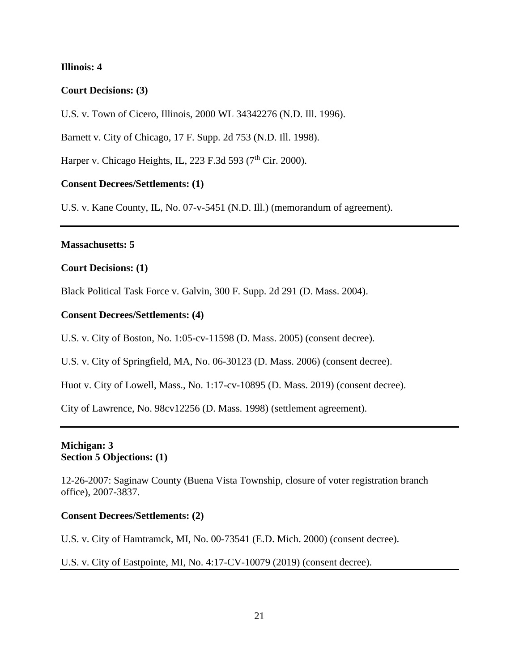## **Illinois: 4**

## **Court Decisions: (3)**

U.S. v. Town of Cicero, Illinois, 2000 WL 34342276 (N.D. Ill. 1996).

Barnett v. City of Chicago, 17 F. Supp. 2d 753 (N.D. Ill. 1998).

Harper v. Chicago Heights, IL, 223 F.3d 593 ( $7<sup>th</sup>$  Cir. 2000).

## **Consent Decrees/Settlements: (1)**

U.S. v. Kane County, IL, No. 07-v-5451 (N.D. Ill.) (memorandum of agreement).

#### **Massachusetts: 5**

## **Court Decisions: (1)**

Black Political Task Force v. Galvin, 300 F. Supp. 2d 291 (D. Mass. 2004).

#### **Consent Decrees/Settlements: (4)**

U.S. v. City of Boston, No. 1:05-cv-11598 (D. Mass. 2005) (consent decree).

U.S. v. City of Springfield, MA, No. 06-30123 (D. Mass. 2006) (consent decree).

Huot v. City of Lowell, Mass., No. 1:17-cv-10895 (D. Mass. 2019) (consent decree).

City of Lawrence, No. 98cv12256 (D. Mass. 1998) (settlement agreement).

## **Michigan: 3 Section 5 Objections: (1)**

12-26-2007: Saginaw County (Buena Vista Township, closure of voter registration branch office), 2007-3837.

### **Consent Decrees/Settlements: (2)**

U.S. v. City of Hamtramck, MI, No. 00-73541 (E.D. Mich. 2000) (consent decree).

## U.S. v. City of Eastpointe, MI, No. 4:17-CV-10079 (2019) (consent decree).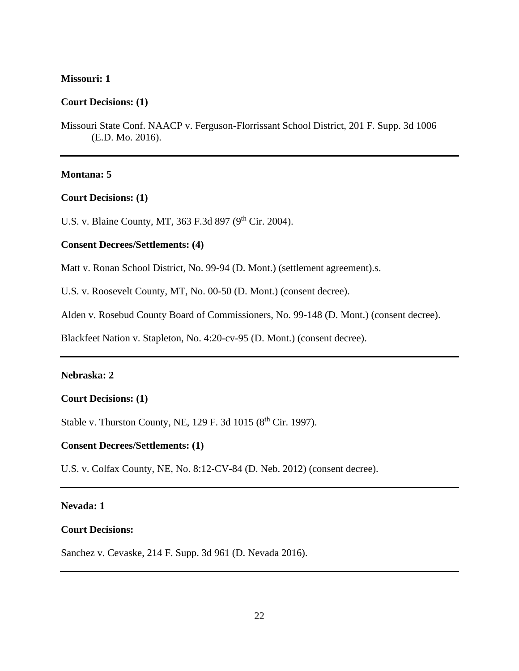#### **Missouri: 1**

### **Court Decisions: (1)**

Missouri State Conf. NAACP v. Ferguson-Florrissant School District, 201 F. Supp. 3d 1006 (E.D. Mo. 2016).

#### **Montana: 5**

# **Court Decisions: (1)**

U.S. v. Blaine County, MT, 363 F.3d 897 (9<sup>th</sup> Cir. 2004).

## **Consent Decrees/Settlements: (4)**

Matt v. Ronan School District, No. 99-94 (D. Mont.) (settlement agreement).s.

U.S. v. Roosevelt County, MT, No. 00-50 (D. Mont.) (consent decree).

Alden v. Rosebud County Board of Commissioners, No. 99-148 (D. Mont.) (consent decree).

Blackfeet Nation v. Stapleton, No. 4:20-cv-95 (D. Mont.) (consent decree).

## **Nebraska: 2**

## **Court Decisions: (1)**

Stable v. Thurston County, NE, 129 F. 3d 1015 (8<sup>th</sup> Cir. 1997).

#### **Consent Decrees/Settlements: (1)**

U.S. v. Colfax County, NE, No. 8:12-CV-84 (D. Neb. 2012) (consent decree).

## **Nevada: 1**

#### **Court Decisions:**

Sanchez v. Cevaske, 214 F. Supp. 3d 961 (D. Nevada 2016).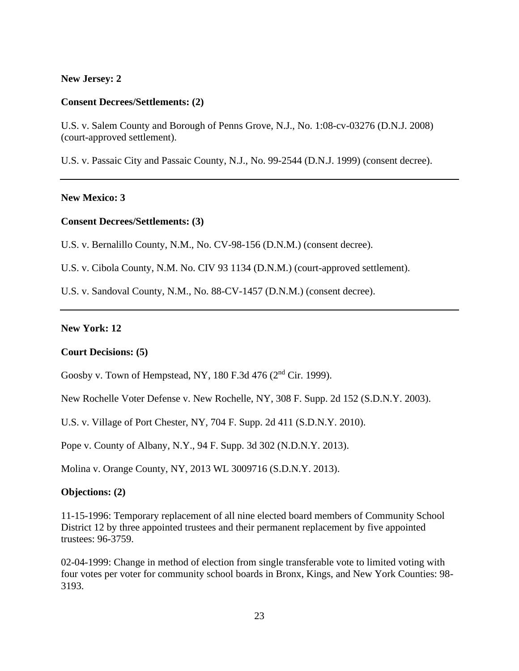#### **New Jersey: 2**

#### **Consent Decrees/Settlements: (2)**

U.S. v. Salem County and Borough of Penns Grove, N.J., No. 1:08-cv-03276 (D.N.J. 2008) (court-approved settlement).

U.S. v. Passaic City and Passaic County, N.J., No. 99-2544 (D.N.J. 1999) (consent decree).

#### **New Mexico: 3**

## **Consent Decrees/Settlements: (3)**

U.S. v. Bernalillo County, N.M., No. CV-98-156 (D.N.M.) (consent decree).

U.S. v. Cibola County, N.M. No. CIV 93 1134 (D.N.M.) (court-approved settlement).

U.S. v. Sandoval County, N.M., No. 88-CV-1457 (D.N.M.) (consent decree).

#### **New York: 12**

## **Court Decisions: (5)**

Goosby v. Town of Hempstead, NY, 180 F.3d 476 (2nd Cir. 1999).

New Rochelle Voter Defense v. New Rochelle, NY, 308 F. Supp. 2d 152 (S.D.N.Y. 2003).

U.S. v. Village of Port Chester, NY, 704 F. Supp. 2d 411 (S.D.N.Y. 2010).

Pope v. County of Albany, N.Y., 94 F. Supp. 3d 302 (N.D.N.Y. 2013).

Molina v. Orange County, NY, 2013 WL 3009716 (S.D.N.Y. 2013).

#### **Objections: (2)**

11-15-1996: Temporary replacement of all nine elected board members of Community School District 12 by three appointed trustees and their permanent replacement by five appointed trustees: 96-3759.

02-04-1999: Change in method of election from single transferable vote to limited voting with four votes per voter for community school boards in Bronx, Kings, and New York Counties: 98- 3193.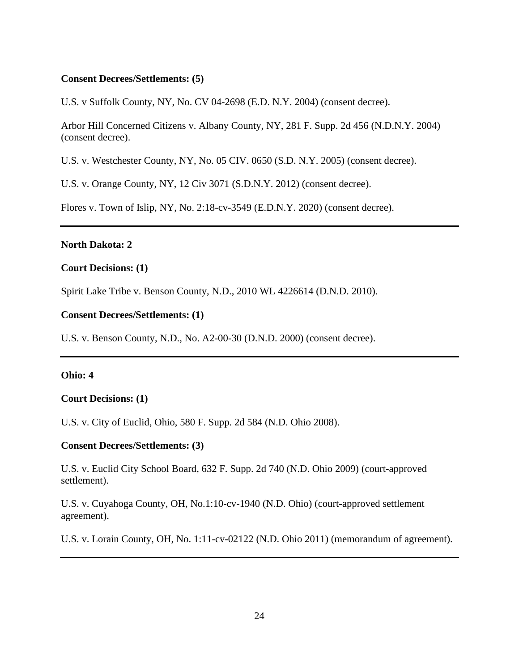## **Consent Decrees/Settlements: (5)**

U.S. v Suffolk County, NY, No. CV 04-2698 (E.D. N.Y. 2004) (consent decree).

Arbor Hill Concerned Citizens v. Albany County, NY, 281 F. Supp. 2d 456 (N.D.N.Y. 2004) (consent decree).

U.S. v. Westchester County, NY, No. 05 CIV. 0650 (S.D. N.Y. 2005) (consent decree).

U.S. v. Orange County, NY, 12 Civ 3071 (S.D.N.Y. 2012) (consent decree).

Flores v. Town of Islip, NY, No. 2:18-cv-3549 (E.D.N.Y. 2020) (consent decree).

## **North Dakota: 2**

## **Court Decisions: (1)**

Spirit Lake Tribe v. Benson County, N.D., 2010 WL 4226614 (D.N.D. 2010).

### **Consent Decrees/Settlements: (1)**

U.S. v. Benson County, N.D., No. A2-00-30 (D.N.D. 2000) (consent decree).

### **Ohio: 4**

### **Court Decisions: (1)**

U.S. v. City of Euclid, Ohio, 580 F. Supp. 2d 584 (N.D. Ohio 2008).

### **Consent Decrees/Settlements: (3)**

U.S. v. Euclid City School Board, 632 F. Supp. 2d 740 (N.D. Ohio 2009) (court-approved settlement).

U.S. v. Cuyahoga County, OH, No.1:10-cv-1940 (N.D. Ohio) (court-approved settlement agreement).

U.S. v. Lorain County, OH, No. 1:11-cv-02122 (N.D. Ohio 2011) (memorandum of agreement).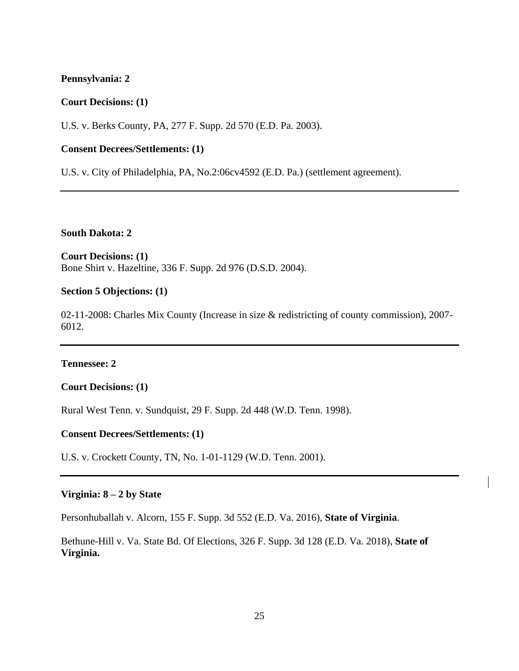### **Pennsylvania: 2**

#### **Court Decisions: (1)**

U.S. v. Berks County, PA, 277 F. Supp. 2d 570 (E.D. Pa. 2003).

## **Consent Decrees/Settlements: (1)**

U.S. v. City of Philadelphia, PA, No.2:06cv4592 (E.D. Pa.) (settlement agreement).

**South Dakota: 2**

# **Court Decisions: (1)**

Bone Shirt v. Hazeltine, 336 F. Supp. 2d 976 (D.S.D. 2004).

## **Section 5 Objections: (1)**

02-11-2008: Charles Mix County (Increase in size & redistricting of county commission), 2007- 6012.

## **Tennessee: 2**

#### **Court Decisions: (1)**

Rural West Tenn. v. Sundquist, 29 F. Supp. 2d 448 (W.D. Tenn. 1998).

## **Consent Decrees/Settlements: (1)**

U.S. v. Crockett County, TN, No. 1-01-1129 (W.D. Tenn. 2001).

#### **Virginia: 8 – 2 by State**

Personhuballah v. Alcorn, 155 F. Supp. 3d 552 (E.D. Va. 2016), **State of Virginia**.

Bethune-Hill v. Va. State Bd. Of Elections, 326 F. Supp. 3d 128 (E.D. Va. 2018), **State of Virginia.**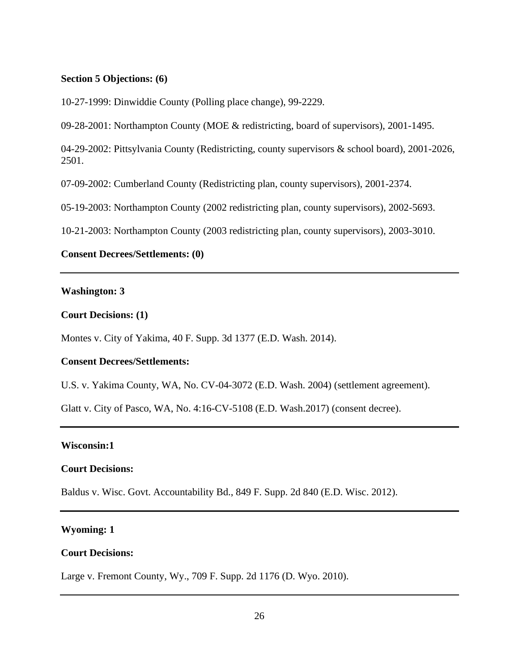### **Section 5 Objections: (6)**

10-27-1999: Dinwiddie County (Polling place change), 99-2229.

09-28-2001: Northampton County (MOE & redistricting, board of supervisors), 2001-1495.

04-29-2002: Pittsylvania County (Redistricting, county supervisors & school board), 2001-2026, 2501.

07-09-2002: Cumberland County (Redistricting plan, county supervisors), 2001-2374.

05-19-2003: Northampton County (2002 redistricting plan, county supervisors), 2002-5693.

10-21-2003: Northampton County (2003 redistricting plan, county supervisors), 2003-3010.

## **Consent Decrees/Settlements: (0)**

### **Washington: 3**

#### **Court Decisions: (1)**

Montes v. City of Yakima, 40 F. Supp. 3d 1377 (E.D. Wash. 2014).

### **Consent Decrees/Settlements:**

U.S. v. Yakima County, WA, No. CV-04-3072 (E.D. Wash. 2004) (settlement agreement).

Glatt v. City of Pasco, WA, No. 4:16-CV-5108 (E.D. Wash.2017) (consent decree).

#### **Wisconsin:1**

#### **Court Decisions:**

Baldus v. Wisc. Govt. Accountability Bd., 849 F. Supp. 2d 840 (E.D. Wisc. 2012).

## **Wyoming: 1**

#### **Court Decisions:**

Large v. Fremont County, Wy., 709 F. Supp. 2d 1176 (D. Wyo. 2010).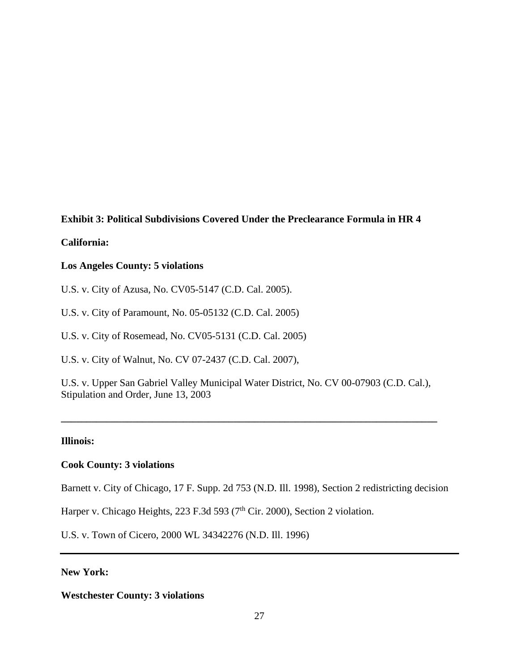## **Exhibit 3: Political Subdivisions Covered Under the Preclearance Formula in HR 4**

## **California:**

## **Los Angeles County: 5 violations**

U.S. v. City of Azusa, No. CV05-5147 (C.D. Cal. 2005).

U.S. v. City of Paramount, No. 05-05132 (C.D. Cal. 2005)

U.S. v. City of Rosemead, No. CV05-5131 (C.D. Cal. 2005)

U.S. v. City of Walnut, No. CV 07-2437 (C.D. Cal. 2007),

U.S. v. Upper San Gabriel Valley Municipal Water District, No. CV 00-07903 (C.D. Cal.), Stipulation and Order, June 13, 2003

**\_\_\_\_\_\_\_\_\_\_\_\_\_\_\_\_\_\_\_\_\_\_\_\_\_\_\_\_\_\_\_\_\_\_\_\_\_\_\_\_\_\_\_\_\_\_\_\_\_\_\_\_\_\_\_\_\_\_\_\_\_\_\_\_\_\_\_\_\_\_\_\_\_\_**

### **Illinois:**

### **Cook County: 3 violations**

Barnett v. City of Chicago, 17 F. Supp. 2d 753 (N.D. Ill. 1998), Section 2 redistricting decision

Harper v. Chicago Heights, 223 F.3d 593 (7<sup>th</sup> Cir. 2000), Section 2 violation.

U.S. v. Town of Cicero, 2000 WL 34342276 (N.D. Ill. 1996)

## **New York:**

**Westchester County: 3 violations**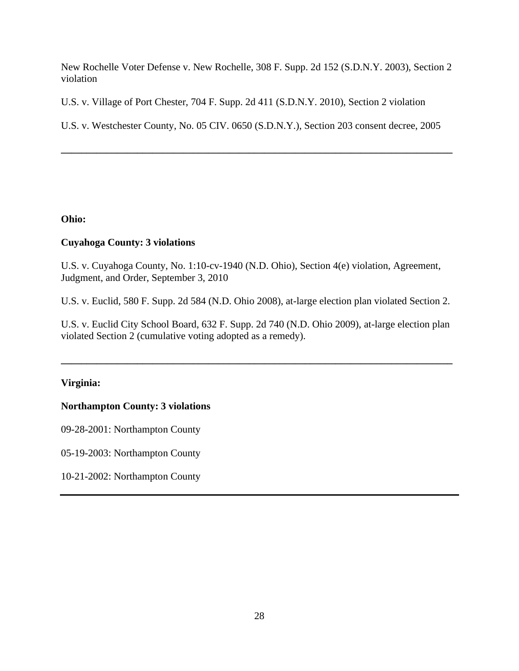New Rochelle Voter Defense v. New Rochelle, 308 F. Supp. 2d 152 (S.D.N.Y. 2003), Section 2 violation

U.S. v. Village of Port Chester, 704 F. Supp. 2d 411 (S.D.N.Y. 2010), Section 2 violation

U.S. v. Westchester County, No. 05 CIV. 0650 (S.D.N.Y.), Section 203 consent decree, 2005

**\_\_\_\_\_\_\_\_\_\_\_\_\_\_\_\_\_\_\_\_\_\_\_\_\_\_\_\_\_\_\_\_\_\_\_\_\_\_\_\_\_\_\_\_\_\_\_\_\_\_\_\_\_\_\_\_\_\_\_\_\_\_\_\_\_\_\_\_\_\_\_\_\_\_\_\_\_**

**Ohio:**

## **Cuyahoga County: 3 violations**

U.S. v. Cuyahoga County, No. 1:10-cv-1940 (N.D. Ohio), Section 4(e) violation, Agreement, Judgment, and Order, September 3, 2010

U.S. v. Euclid, 580 F. Supp. 2d 584 (N.D. Ohio 2008), at-large election plan violated Section 2.

U.S. v. Euclid City School Board, 632 F. Supp. 2d 740 (N.D. Ohio 2009), at-large election plan violated Section 2 (cumulative voting adopted as a remedy).

**\_\_\_\_\_\_\_\_\_\_\_\_\_\_\_\_\_\_\_\_\_\_\_\_\_\_\_\_\_\_\_\_\_\_\_\_\_\_\_\_\_\_\_\_\_\_\_\_\_\_\_\_\_\_\_\_\_\_\_\_\_\_\_\_\_\_\_\_\_\_\_\_\_\_\_\_\_**

# **Virginia:**

## **Northampton County: 3 violations**

09-28-2001: Northampton County

05-19-2003: Northampton County

10-21-2002: Northampton County